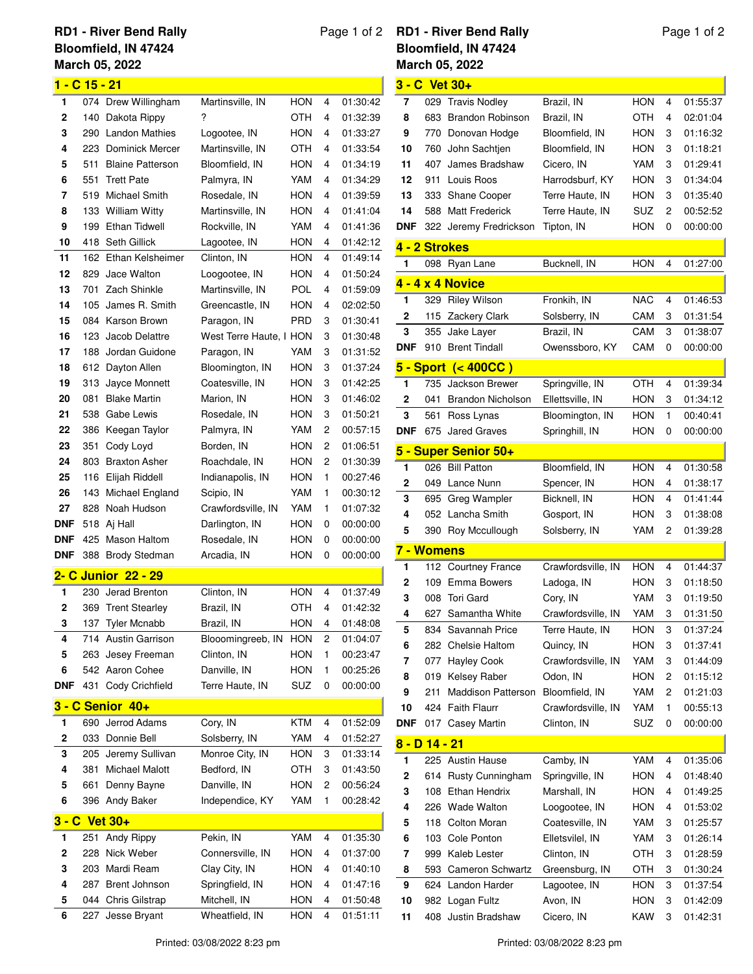## **March 05, 2022 RD1 - River Bend Rally Bloomfield, IN 47424**

| 1 - C 15 - 21 |     |                         |                         |            |   |          |  |
|---------------|-----|-------------------------|-------------------------|------------|---|----------|--|
| 1             | 074 | Drew Willingham         | Martinsville, IN        | HON        | 4 | 01:30:42 |  |
| 2             | 140 | Dakota Rippy            | ?                       | ОТН        | 4 | 01:32:39 |  |
| 3             | 290 | <b>Landon Mathies</b>   | Logootee, IN            | HON        | 4 | 01:33:27 |  |
| 4             | 223 | Dominick Mercer         | Martinsville, IN        | ОТН        | 4 | 01:33:54 |  |
| 5             | 511 | <b>Blaine Patterson</b> | Bloomfield, IN          | HON        | 4 | 01:34:19 |  |
| 6             | 551 | <b>Trett Pate</b>       | Palmyra, IN             | YAM        | 4 | 01:34:29 |  |
| 7             | 519 | Michael Smith           | Rosedale, IN            | HON        | 4 | 01:39:59 |  |
| 8             | 133 | <b>William Witty</b>    | Martinsville, IN        | HON        | 4 | 01:41:04 |  |
| 9             | 199 | <b>Ethan Tidwell</b>    | Rockville, IN           | YAM        | 4 | 01:41:36 |  |
| 10            | 418 | Seth Gillick            | Lagootee, IN            | HON        | 4 | 01:42:12 |  |
| 11            | 162 | Ethan Kelsheimer        | Clinton, IN             | HON        | 4 | 01:49:14 |  |
| 12            | 829 | Jace Walton             | Loogootee, IN           | HON        | 4 | 01:50:24 |  |
| 13            | 701 | <b>Zach Shinkle</b>     | Martinsville, IN        | POL        | 4 | 01:59:09 |  |
| 14            | 105 | James R. Smith          | Greencastle, IN         | HON        | 4 | 02:02:50 |  |
| 15            | 084 | Karson Brown            | Paragon, IN             | PRD        | 3 | 01:30:41 |  |
| 16            | 123 | Jacob Delattre          | West Terre Haute, I HON |            | 3 | 01:30:48 |  |
| 17            | 188 | Jordan Guidone          | Paragon, IN             | YAM        | 3 | 01:31:52 |  |
| 18            | 612 | Dayton Allen            | Bloomington, IN         | HON        | 3 | 01:37:24 |  |
| 19            | 313 | Jayce Monnett           | Coatesville, IN         | <b>HON</b> | 3 | 01:42:25 |  |
| 20            | 081 | <b>Blake Martin</b>     | Marion, IN              | HON        | 3 | 01:46:02 |  |
|               |     |                         |                         |            |   |          |  |
| 21            | 538 | Gabe Lewis              | Rosedale, IN            | HON        | 3 | 01:50:21 |  |
| 22            | 386 | Keegan Taylor           | Palmyra, IN             | YAM        | 2 | 00:57:15 |  |
| 23            | 351 | Cody Loyd               | Borden, IN              | <b>HON</b> | 2 | 01:06:51 |  |
| 24            | 803 | <b>Braxton Asher</b>    | Roachdale, IN           | HON        | 2 | 01:30:39 |  |
| 25            | 116 | Elijah Riddell          | Indianapolis, IN        | HON        | 1 | 00:27:46 |  |
| 26            | 143 | Michael England         | Scipio, IN              | YAM        | 1 | 00:30:12 |  |
| 27            | 828 | Noah Hudson             | Crawfordsville, IN      | YAM        | 1 | 01:07:32 |  |
| <b>DNF</b>    | 518 | Aj Hall                 | Darlington, IN          | HON        | 0 | 00:00:00 |  |
| DNF           | 425 | Mason Haltom            | Rosedale, IN            | HON        | 0 | 00:00:00 |  |
| <b>DNF</b>    | 388 | <b>Brody Stedman</b>    | Arcadia, IN             | HON        | 0 | 00:00:00 |  |
|               |     | 2- C Junior 22 - 29     |                         |            |   |          |  |
| 1             | 230 | Jerad Brenton           | Clinton, IN             | <b>HON</b> | 4 | 01:37:49 |  |
| 2             | 369 | <b>Trent Stearley</b>   | Brazil, IN              | OTH        | 4 | 01:42:32 |  |
| 3             | 137 | Tyler Mcnabb            | Brazil, IN              | HON        | 4 | 01:48:08 |  |
| 4             | 714 | <b>Austin Garrison</b>  | Blooomingreeb, IN       | HON        | 2 | 01:04:07 |  |
| 5             | 263 | Jesey Freeman           | Clinton, IN             | <b>HON</b> | 1 | 00:23:47 |  |
| 6             |     | 542 Aaron Cohee         | Danville, IN            | <b>HON</b> | 1 | 00:25:26 |  |
| DNF           | 431 | Cody Crichfield         | Terre Haute, IN         | SUZ        | 0 | 00:00:00 |  |
|               |     |                         |                         |            |   |          |  |
|               |     | 3 - C Senior 40+        |                         |            |   |          |  |
| 1             | 690 | Jerrod Adams            | Cory, IN                | <b>KTM</b> | 4 | 01:52:09 |  |
| 2             | 033 | Donnie Bell             | Solsberry, IN           | YAM        | 4 | 01:52:27 |  |
| 3             | 205 | Jeremy Sullivan         | Monroe City, IN         | HON        | 3 | 01:33:14 |  |
| 4             | 381 | Michael Malott          | Bedford, IN             | OTH        | 3 | 01:43:50 |  |
| 5             | 661 | Denny Bayne             | Danville, IN            | HON        | 2 | 00:56:24 |  |
| 6             | 396 | Andy Baker              | Independice, KY         | YAM        | 1 | 00:28:42 |  |
| 3 - C Vet 30+ |     |                         |                         |            |   |          |  |
| 1             | 251 | Andy Rippy              | Pekin, IN               | YAM        | 4 | 01:35:30 |  |
| 2             | 228 | Nick Weber              | Connersville, IN        | HON        | 4 | 01:37:00 |  |
| 3             | 203 | Mardi Ream              | Clay City, IN           | HON        | 4 | 01:40:10 |  |
| 4             | 287 | Brent Johnson           | Springfield, IN         | HON        | 4 | 01:47:16 |  |
| 5             | 044 | Chris Gilstrap          | Mitchell, IN            | HON        | 4 | 01:50:48 |  |

## Page 1 of 2 **RD1 - River Bend Rally Ma Bloomfield, IN 47424**

| <b>March 05, 2022</b>      |     |                          |                    |            |   |          |  |
|----------------------------|-----|--------------------------|--------------------|------------|---|----------|--|
|                            |     | 3 - C Vet 30+            |                    |            |   |          |  |
| 7                          | 029 | <b>Travis Nodley</b>     | Brazil, IN         | <b>HON</b> | 4 | 01:55:37 |  |
| 8                          | 683 | <b>Brandon Robinson</b>  | Brazil, IN         | OTH        | 4 | 02:01:04 |  |
| 9                          | 770 | Donovan Hodge            | Bloomfield, IN     | HON        | 3 | 01:16:32 |  |
| 10                         | 760 | John Sachtjen            | Bloomfield, IN     | HON        | 3 | 01:18:21 |  |
| 11                         | 407 | James Bradshaw           | Cicero, IN         | YAM        | 3 | 01:29:41 |  |
| 12                         | 911 | Louis Roos               | Harrodsburf, KY    | HON        | 3 | 01:34:04 |  |
| 13                         | 333 | <b>Shane Cooper</b>      | Terre Haute, IN    | HON        | 3 | 01:35:40 |  |
| 14                         | 588 | <b>Matt Frederick</b>    | Terre Haute, IN    | SUZ        | 2 | 00:52:52 |  |
| <b>DNF</b>                 |     | 322 Jeremy Fredrickson   | Tipton, IN         | HON        | 0 | 00:00:00 |  |
| 4 - 2 Strokes              |     |                          |                    |            |   |          |  |
| 1                          | 098 | Ryan Lane                | Bucknell, IN       | <b>HON</b> | 4 | 01:27:00 |  |
|                            |     | 4 - 4 x 4 Novice         |                    |            |   |          |  |
| 1                          |     | 329 Riley Wilson         | Fronkih, IN        | NAC        | 4 | 01:46:53 |  |
| 2                          | 115 | Zackery Clark            | Solsberry, IN      | CAM        | 3 | 01:31:54 |  |
| 3                          | 355 | Jake Layer               | Brazil, IN         | CAM        | 3 | 01:38:07 |  |
| <b>DNF</b>                 | 910 | <b>Brent Tindall</b>     | Owenssboro, KY     | CAM        | 0 | 00:00:00 |  |
|                            |     |                          |                    |            |   |          |  |
|                            |     | 5 - Sport (< 400CC)      |                    |            |   |          |  |
| 1                          | 735 | Jackson Brewer           | Springville, IN    | OTH        | 4 | 01:39:34 |  |
| 2                          | 041 | <b>Brandon Nicholson</b> | Ellettsville, IN   | HON        | 3 | 01:34:12 |  |
| 3                          | 561 | Ross Lynas               | Bloomington, IN    | HON        | 1 | 00:40:41 |  |
| <b>DNF</b>                 | 675 | <b>Jared Graves</b>      | Springhill, IN     | HON        | 0 | 00:00:00 |  |
|                            |     | 5 - Super Senior 50+     |                    |            |   |          |  |
| 1                          | 026 | <b>Bill Patton</b>       | Bloomfield, IN     | HON        | 4 | 01:30:58 |  |
| 2                          | 049 | Lance Nunn               | Spencer, IN        | HON        | 4 | 01:38:17 |  |
| 3                          | 695 | Greg Wampler             | Bicknell, IN       | HON        | 4 | 01:41:44 |  |
| 4                          |     | 052 Lancha Smith         | Gosport, IN        | HON        | 3 | 01:38:08 |  |
| 5                          |     | 390 Roy Mccullough       | Solsberry, IN      | YAM        | 2 | 01:39:28 |  |
| <b>7 - Womens</b>          |     |                          |                    |            |   |          |  |
| 1                          |     | 112 Courtney France      | Crawfordsville, IN | HON        | 4 | 01:44:37 |  |
| 2                          | 109 | Emma Bowers              | Ladoga, IN         | HON        | 3 | 01:18:50 |  |
| 3                          |     | 008 Tori Gard            | Cory, IN           | YAM        | 3 | 01:19:50 |  |
| 4                          | 627 | Samantha White           | Crawfordsville, IN | YAM        | 3 | 01:31:50 |  |
| 5                          | 834 | Savannah Price           | Terre Haute, IN    | HON        | 3 | 01:37:24 |  |
| 6                          |     | 282 Chelsie Haltom       | Quincy, IN         | <b>HON</b> | 3 | 01:37:41 |  |
| 7                          | 077 | <b>Hayley Cook</b>       | Crawfordsville, IN | YAM        | 3 | 01:44:09 |  |
| 8                          | 019 | <b>Kelsey Raber</b>      | Odon, IN           | HON        | 2 | 01:15:12 |  |
| 9                          | 211 | Maddison Patterson       | Bloomfield, IN     | YAM        | 2 | 01:21:03 |  |
| 10                         | 424 | <b>Faith Flaurr</b>      | Crawfordsville, IN | YAM        | 1 | 00:55:13 |  |
| <b>DNF</b>                 |     | 017 Casey Martin         | Clinton, IN        | SUZ        | 0 | 00:00:00 |  |
| <mark>8 - D 14 - 21</mark> |     |                          |                    |            |   |          |  |
| 1                          |     | 225 Austin Hause         | Camby, IN          | YAM        | 4 | 01:35:06 |  |
| 2                          | 614 | Rusty Cunningham         | Springville, IN    | HON        | 4 | 01:48:40 |  |
| 3                          | 108 | Ethan Hendrix            | Marshall, IN       | HON        | 4 | 01:49:25 |  |
| 4                          | 226 | Wade Walton              | Loogootee, IN      | HON        | 4 | 01:53:02 |  |
| 5                          | 118 | Colton Moran             | Coatesville, IN    | YAM        | 3 | 01:25:57 |  |
| 6                          |     | 103 Cole Ponton          | Elletsvilel, IN    | YAM        | 3 | 01:26:14 |  |
| 7                          | 999 | Kaleb Lester             | Clinton, IN        | OTH        | 3 | 01:28:59 |  |
| 8                          |     | 593 Cameron Schwartz     | Greensburg, IN     | OTH        | 3 | 01:30:24 |  |
| 9                          | 624 | Landon Harder            | Lagootee, IN       | HON        | 3 | 01:37:54 |  |
| 10                         | 982 | Logan Fultz              | Avon, IN           | HON        | 3 | 01:42:09 |  |
| 11                         | 408 | Justin Bradshaw          | Cicero, IN         | KAW        | 3 | 01:42:31 |  |

227 Jesse Bryant Wheatfield, IN HON 4 01:51:11